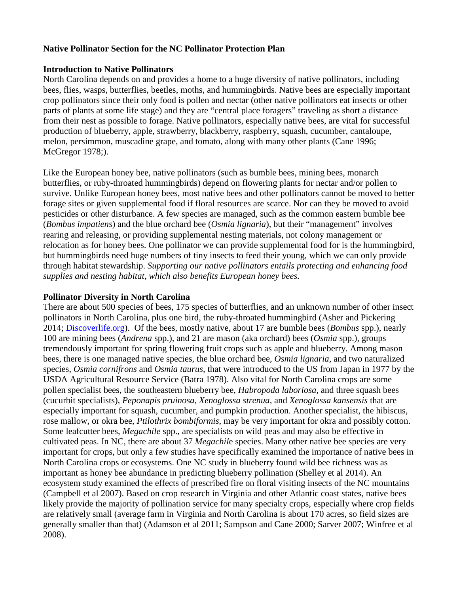#### **Native Pollinator Section for the NC Pollinator Protection Plan**

#### **Introduction to Native Pollinators**

North Carolina depends on and provides a home to a huge diversity of native pollinators, including bees, flies, wasps, butterflies, beetles, moths, and hummingbirds. Native bees are especially important crop pollinators since their only food is pollen and nectar (other native pollinators eat insects or other parts of plants at some life stage) and they are "central place foragers" traveling as short a distance from their nest as possible to forage. Native pollinators, especially native bees, are vital for successful production of blueberry, apple, strawberry, blackberry, raspberry, squash, cucumber, cantaloupe, melon, persimmon, muscadine grape, and tomato, along with many other plants (Cane 1996; McGregor 1978;).

Like the European honey bee, native pollinators (such as bumble bees, mining bees, monarch butterflies, or ruby-throated hummingbirds) depend on flowering plants for nectar and/or pollen to survive. Unlike European honey bees, most native bees and other pollinators cannot be moved to better forage sites or given supplemental food if floral resources are scarce. Nor can they be moved to avoid pesticides or other disturbance. A few species are managed, such as the common eastern bumble bee (*Bombus impatiens*) and the blue orchard bee (*Osmia lignaria*), but their "management" involves rearing and releasing, or providing supplemental nesting materials, not colony management or relocation as for honey bees. One pollinator we can provide supplemental food for is the hummingbird, but hummingbirds need huge numbers of tiny insects to feed their young, which we can only provide through habitat stewardship. *Supporting our native pollinators entails protecting and enhancing food supplies and nesting habitat, which also benefits European honey bees.*

### **Pollinator Diversity in North Carolina**

There are about 500 species of bees, 175 species of butterflies, and an unknown number of other insect pollinators in North Carolina, plus one bird, the ruby-throated hummingbird (Asher and Pickering 2014; [Discoverlife.org\)](http://www.discoverlife.org/). Of the bees, mostly native, about 17 are bumble bees (*Bombus* spp.), nearly 100 are mining bees (*Andrena* spp.), and 21 are mason (aka orchard) bees (*Osmia* spp.), groups tremendously important for spring flowering fruit crops such as apple and blueberry. Among mason bees, there is one managed native species, the blue orchard bee, *Osmia lignaria,* and two naturalized species, *Osmia cornifrons* and *Osmia taurus*, that were introduced to the US from Japan in 1977 by the USDA Agricultural Resource Service (Batra 1978). Also vital for North Carolina crops are some pollen specialist bees, the southeastern blueberry bee, *Habropoda laboriosa*, and three squash bees (cucurbit specialists), *Peponapis pruinosa, Xenoglossa strenua,* and *Xenoglossa kansensis* that are especially important for squash, cucumber, and pumpkin production. Another specialist, the hibiscus, rose mallow, or okra bee, *Ptilothrix bombiformis*, may be very important for okra and possibly cotton. Some leafcutter bees, *Megachile* spp., are specialists on wild peas and may also be effective in cultivated peas. In NC, there are about 37 *Megachil*e species. Many other native bee species are very important for crops, but only a few studies have specifically examined the importance of native bees in North Carolina crops or ecosystems. One NC study in blueberry found wild bee richness was as important as honey bee abundance in predicting blueberry pollination (Shelley et al 2014). An ecosystem study examined the effects of prescribed fire on floral visiting insects of the NC mountains (Campbell et al 2007). Based on crop research in Virginia and other Atlantic coast states, native bees likely provide the majority of pollination service for many specialty crops, especially where crop fields are relatively small (average farm in Virginia and North Carolina is about 170 acres, so field sizes are generally smaller than that) (Adamson et al 2011; Sampson and Cane 2000; Sarver 2007; Winfree et al 2008).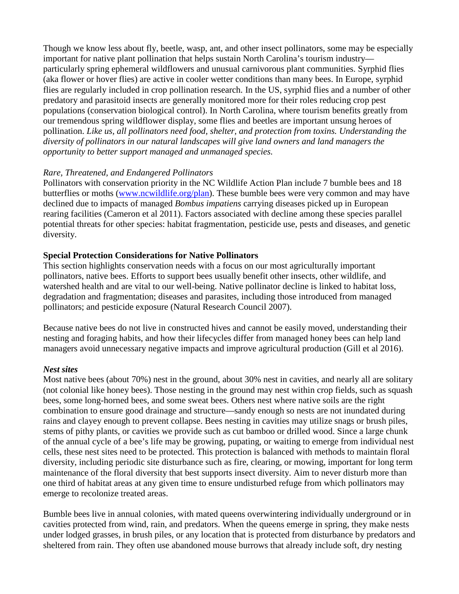Though we know less about fly, beetle, wasp, ant, and other insect pollinators, some may be especially important for native plant pollination that helps sustain North Carolina's tourism industry particularly spring ephemeral wildflowers and unusual carnivorous plant communities. Syrphid flies (aka flower or hover flies) are active in cooler wetter conditions than many bees. In Europe, syrphid flies are regularly included in crop pollination research. In the US, syrphid flies and a number of other predatory and parasitoid insects are generally monitored more for their roles reducing crop pest populations (conservation biological control). In North Carolina, where tourism benefits greatly from our tremendous spring wildflower display, some flies and beetles are important unsung heroes of pollination. *Like us, all pollinators need food, shelter, and protection from toxins. Understanding the diversity of pollinators in our natural landscapes will give land owners and land managers the opportunity to better support managed and unmanaged species.*

### *Rare, Threatened, and Endangered Pollinators*

Pollinators with conservation priority in the NC Wildlife Action Plan include 7 bumble bees and 18 butterflies or moths [\(www.ncwildlife.org/plan\)](http://www.ncwildlife.org/plan.aspx). These bumble bees were very common and may have declined due to impacts of managed *Bombus impatiens* carrying diseases picked up in European rearing facilities (Cameron et al 2011). Factors associated with decline among these species parallel potential threats for other species: habitat fragmentation, pesticide use, pests and diseases, and genetic diversity.

## **Special Protection Considerations for Native Pollinators**

This section highlights conservation needs with a focus on our most agriculturally important pollinators, native bees. Efforts to support bees usually benefit other insects, other wildlife, and watershed health and are vital to our well-being. Native pollinator decline is linked to habitat loss, degradation and fragmentation; diseases and parasites, including those introduced from managed pollinators; and pesticide exposure (Natural Research Council 2007).

Because native bees do not live in constructed hives and cannot be easily moved, understanding their nesting and foraging habits, and how their lifecycles differ from managed honey bees can help land managers avoid unnecessary negative impacts and improve agricultural production (Gill et al 2016).

#### *Nest sites*

Most native bees (about 70%) nest in the ground, about 30% nest in cavities, and nearly all are solitary (not colonial like honey bees). Those nesting in the ground may nest within crop fields, such as squash bees, some long-horned bees, and some sweat bees. Others nest where native soils are the right combination to ensure good drainage and structure—sandy enough so nests are not inundated during rains and clayey enough to prevent collapse. Bees nesting in cavities may utilize snags or brush piles, stems of pithy plants, or cavities we provide such as cut bamboo or drilled wood. Since a large chunk of the annual cycle of a bee's life may be growing, pupating, or waiting to emerge from individual nest cells, these nest sites need to be protected. This protection is balanced with methods to maintain floral diversity, including periodic site disturbance such as fire, clearing, or mowing, important for long term maintenance of the floral diversity that best supports insect diversity. Aim to never disturb more than one third of habitat areas at any given time to ensure undisturbed refuge from which pollinators may emerge to recolonize treated areas.

Bumble bees live in annual colonies, with mated queens overwintering individually underground or in cavities protected from wind, rain, and predators. When the queens emerge in spring, they make nests under lodged grasses, in brush piles, or any location that is protected from disturbance by predators and sheltered from rain. They often use abandoned mouse burrows that already include soft, dry nesting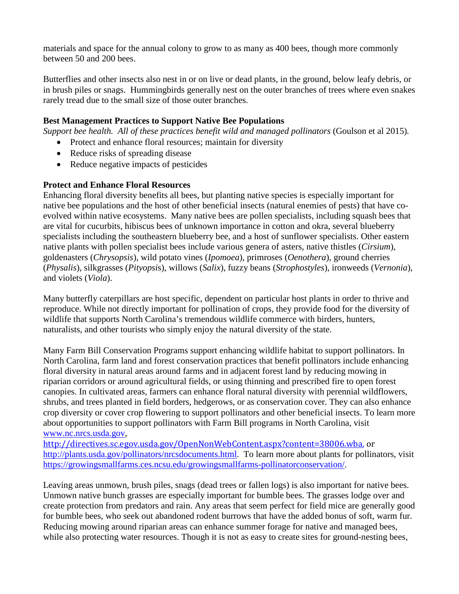materials and space for the annual colony to grow to as many as 400 bees, though more commonly between 50 and 200 bees.

Butterflies and other insects also nest in or on live or dead plants, in the ground, below leafy debris, or in brush piles or snags. Hummingbirds generally nest on the outer branches of trees where even snakes rarely tread due to the small size of those outer branches.

## **Best Management Practices to Support Native Bee Populations**

*Support bee health. All of these practices benefit wild and managed pollinators* (Goulson et al 2015)*.*

- Protect and enhance floral resources; maintain for diversity
- Reduce risks of spreading disease
- Reduce negative impacts of pesticides

## **Protect and Enhance Floral Resources**

Enhancing floral diversity benefits all bees, but planting native species is especially important for native bee populations and the host of other beneficial insects (natural enemies of pests) that have coevolved within native ecosystems. Many native bees are pollen specialists, including squash bees that are vital for cucurbits, hibiscus bees of unknown importance in cotton and okra, several blueberry specialists including the southeastern blueberry bee, and a host of sunflower specialists. Other eastern native plants with pollen specialist bees include various genera of asters, native thistles (*Cirsium*), goldenasters (*Chrysopsis*), wild potato vines (*Ipomoea*), primroses (*Oenothera*), ground cherries (*Physalis*), silkgrasses (*Pityopsi*s), willows (*Salix*), fuzzy beans (*Strophostyles*), ironweeds (*Vernonia*), and violets (*Viola*).

Many butterfly caterpillars are host specific, dependent on particular host plants in order to thrive and reproduce. While not directly important for pollination of crops, they provide food for the diversity of wildlife that supports North Carolina's tremendous wildlife commerce with birders, hunters, naturalists, and other tourists who simply enjoy the natural diversity of the state.

Many Farm Bill Conservation Programs support enhancing wildlife habitat to support pollinators. In North Carolina, farm land and forest conservation practices that benefit pollinators include enhancing floral diversity in natural areas around farms and in adjacent forest land by reducing mowing in riparian corridors or around agricultural fields, or using thinning and prescribed fire to open forest canopies. In cultivated areas, farmers can enhance floral natural diversity with perennial wildflowers, shrubs, and trees planted in field borders, hedgerows, or as conservation cover. They can also enhance crop diversity or cover crop flowering to support pollinators and other beneficial insects. To learn more about opportunities to support pollinators with Farm Bill programs in North Carolina, visit [www.nc.nrcs.usda.gov,](http://www.nc.nrcs.usda.gov/)

[http://directives.sc.egov.usda.gov/OpenNonWebContent.aspx?content=38006.wba,](http://directives.sc.egov.usda.gov/OpenNonWebContent.aspx?content=38006.wba) or [http://plants.usda.gov/pollinators/nrcsdocuments.html.](http://plants.usda.gov/pollinators/nrcsdocuments.html) To learn more about plants for pollinators, visit [https://growingsmallfarms.ces.ncsu.edu/growingsmallfarms-pollinatorconservation/.](https://growingsmallfarms.ces.ncsu.edu/growingsmallfarms-pollinatorconservation/)

Leaving areas unmown, brush piles, snags (dead trees or fallen logs) is also important for native bees. Unmown native bunch grasses are especially important for bumble bees. The grasses lodge over and create protection from predators and rain. Any areas that seem perfect for field mice are generally good for bumble bees, who seek out abandoned rodent burrows that have the added bonus of soft, warm fur. Reducing mowing around riparian areas can enhance summer forage for native and managed bees, while also protecting water resources. Though it is not as easy to create sites for ground-nesting bees,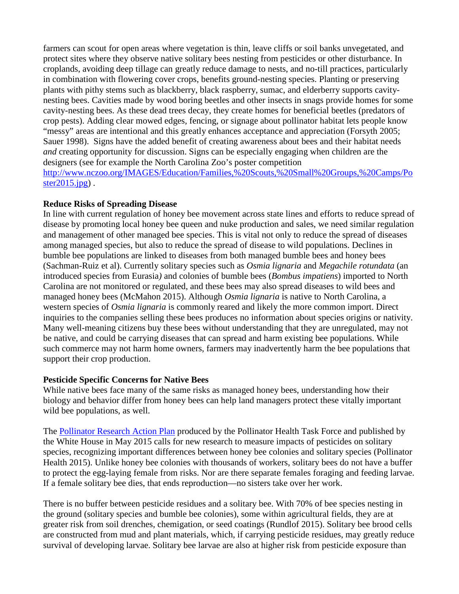farmers can scout for open areas where vegetation is thin, leave cliffs or soil banks unvegetated, and protect sites where they observe native solitary bees nesting from pesticides or other disturbance. In croplands, avoiding deep tillage can greatly reduce damage to nests, and no-till practices, particularly in combination with flowering cover crops, benefits ground-nesting species. Planting or preserving plants with pithy stems such as blackberry, black raspberry, sumac, and elderberry supports cavitynesting bees. Cavities made by wood boring beetles and other insects in snags provide homes for some cavity-nesting bees. As these dead trees decay, they create homes for beneficial beetles (predators of crop pests). Adding clear mowed edges, fencing, or signage about pollinator habitat lets people know "messy" areas are intentional and this greatly enhances acceptance and appreciation (Forsyth 2005; Sauer 1998). Signs have the added benefit of creating awareness about bees and their habitat needs *and* creating opportunity for discussion. Signs can be especially engaging when children are the designers (see for example the North Carolina Zoo's poster competition [http://www.nczoo.org/IMAGES/Education/Families,%20Scouts,%20Small%20Groups,%20Camps/Po](http://www.nczoo.org/IMAGES/Education/Families,%20Scouts,%20Small%20Groups,%20Camps/Poster2015.jpg) ster $2015$ .jpg).

### **Reduce Risks of Spreading Disease**

In line with current regulation of honey bee movement across state lines and efforts to reduce spread of disease by promoting local honey bee queen and nuke production and sales, we need similar regulation and management of other managed bee species. This is vital not only to reduce the spread of diseases among managed species, but also to reduce the spread of disease to wild populations. Declines in bumble bee populations are linked to diseases from both managed bumble bees and honey bees (Sachman-Ruiz et al). Currently solitary species such as *Osmia lignaria* and *Megachile rotundata* (an introduced species from Eurasia*)* and colonies of bumble bees (*Bombus impatiens*) imported to North Carolina are not monitored or regulated, and these bees may also spread diseases to wild bees and managed honey bees (McMahon 2015). Although *Osmia lignaria* is native to North Carolina, a western species of *Osmia lignaria* is commonly reared and likely the more common import. Direct inquiries to the companies selling these bees produces no information about species origins or nativity. Many well-meaning citizens buy these bees without understanding that they are unregulated, may not be native, and could be carrying diseases that can spread and harm existing bee populations. While such commerce may not harm home owners, farmers may inadvertently harm the bee populations that support their crop production.

## **Pesticide Specific Concerns for Native Bees**

While native bees face many of the same risks as managed honey bees, understanding how their biology and behavior differ from honey bees can help land managers protect these vitally important wild bee populations, as well.

The [Pollinator Research Action Plan](https://www.whitehouse.gov/sites/default/files/microsites/ostp/Pollinator%20Research%20Action%20Plan%202015.pdf) produced by the Pollinator Health Task Force and published by the White House in May 2015 calls for new research to measure impacts of pesticides on solitary species, recognizing important differences between honey bee colonies and solitary species (Pollinator Health 2015). Unlike honey bee colonies with thousands of workers, solitary bees do not have a buffer to protect the egg-laying female from risks. Nor are there separate females foraging and feeding larvae. If a female solitary bee dies, that ends reproduction—no sisters take over her work.

There is no buffer between pesticide residues and a solitary bee. With 70% of bee species nesting in the ground (solitary species and bumble bee colonies), some within agricultural fields, they are at greater risk from soil drenches, chemigation, or seed coatings (Rundlof 2015). Solitary bee brood cells are constructed from mud and plant materials, which, if carrying pesticide residues, may greatly reduce survival of developing larvae. Solitary bee larvae are also at higher risk from pesticide exposure than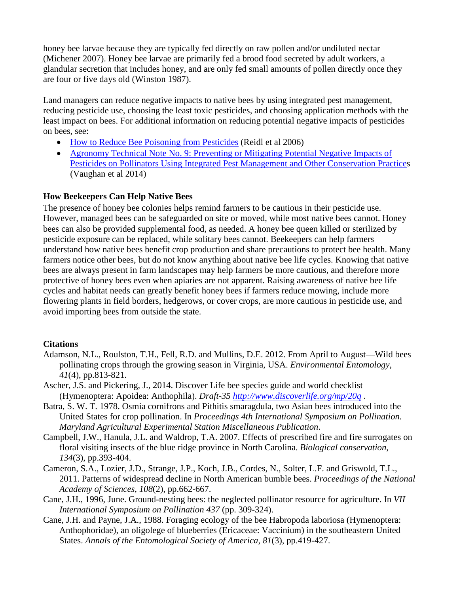honey bee larvae because they are typically fed directly on raw pollen and/or undiluted nectar (Michener 2007). Honey bee larvae are primarily fed a brood food secreted by adult workers, a glandular secretion that includes honey, and are only fed small amounts of pollen directly once they are four or five days old (Winston 1987).

Land managers can reduce negative impacts to native bees by using integrated pest management, reducing pesticide use, choosing the least toxic pesticides, and choosing application methods with the least impact on bees. For additional information on reducing potential negative impacts of pesticides on bees, see:

- [How to Reduce Bee Poisoning from Pesticides](https://catalog.extension.oregonstate.edu/files/project/pdf/pnw591.pdf) (Reidl et al 2006)
- Agronomy Technical Note No. 9: Preventing or Mitigating Potential Negative Impacts of [Pesticides on Pollinators Using Integrated Pest Management and Other Conservation Practices](http://directives.sc.egov.usda.gov/OpenNonWebContent.aspx?content=34828.wba) (Vaughan et al 2014)

# **How Beekeepers Can Help Native Bees**

The presence of honey bee colonies helps remind farmers to be cautious in their pesticide use. However, managed bees can be safeguarded on site or moved, while most native bees cannot. Honey bees can also be provided supplemental food, as needed. A honey bee queen killed or sterilized by pesticide exposure can be replaced, while solitary bees cannot. Beekeepers can help farmers understand how native bees benefit crop production and share precautions to protect bee health. Many farmers notice other bees, but do not know anything about native bee life cycles. Knowing that native bees are always present in farm landscapes may help farmers be more cautious, and therefore more protective of honey bees even when apiaries are not apparent. Raising awareness of native bee life cycles and habitat needs can greatly benefit honey bees if farmers reduce mowing, include more flowering plants in field borders, hedgerows, or cover crops, are more cautious in pesticide use, and avoid importing bees from outside the state.

## **Citations**

- Adamson, N.L., Roulston, T.H., Fell, R.D. and Mullins, D.E. 2012. From April to August—Wild bees pollinating crops through the growing season in Virginia, USA. *Environmental Entomology*, *41*(4), pp.813-821.
- Ascher, J.S. and Pickering, J., 2014. Discover Life bee species guide and world checklist (Hymenoptera: Apoidea: Anthophila). *Draft-35<http://www.discoverlife.org/mp/20q>* .
- Batra, S. W. T. 1978. Osmia cornifrons and Pithitis smaragdula, two Asian bees introduced into the United States for crop pollination. In *Proceedings 4th International Symposium on Pollination. Maryland Agricultural Experimental Station Miscellaneous Publication*.
- Campbell, J.W., Hanula, J.L. and Waldrop, T.A. 2007. Effects of prescribed fire and fire surrogates on floral visiting insects of the blue ridge province in North Carolina. *Biological conservation*, *134*(3), pp.393-404.
- Cameron, S.A., Lozier, J.D., Strange, J.P., Koch, J.B., Cordes, N., Solter, L.F. and Griswold, T.L., 2011. Patterns of widespread decline in North American bumble bees. *Proceedings of the National Academy of Sciences*, *108*(2), pp.662-667.
- Cane, J.H., 1996, June. Ground-nesting bees: the neglected pollinator resource for agriculture. In *VII International Symposium on Pollination 437* (pp. 309-324).
- Cane, J.H. and Payne, J.A., 1988. Foraging ecology of the bee Habropoda laboriosa (Hymenoptera: Anthophoridae), an oligolege of blueberries (Ericaceae: Vaccinium) in the southeastern United States. *Annals of the Entomological Society of America*, *81*(3), pp.419-427.